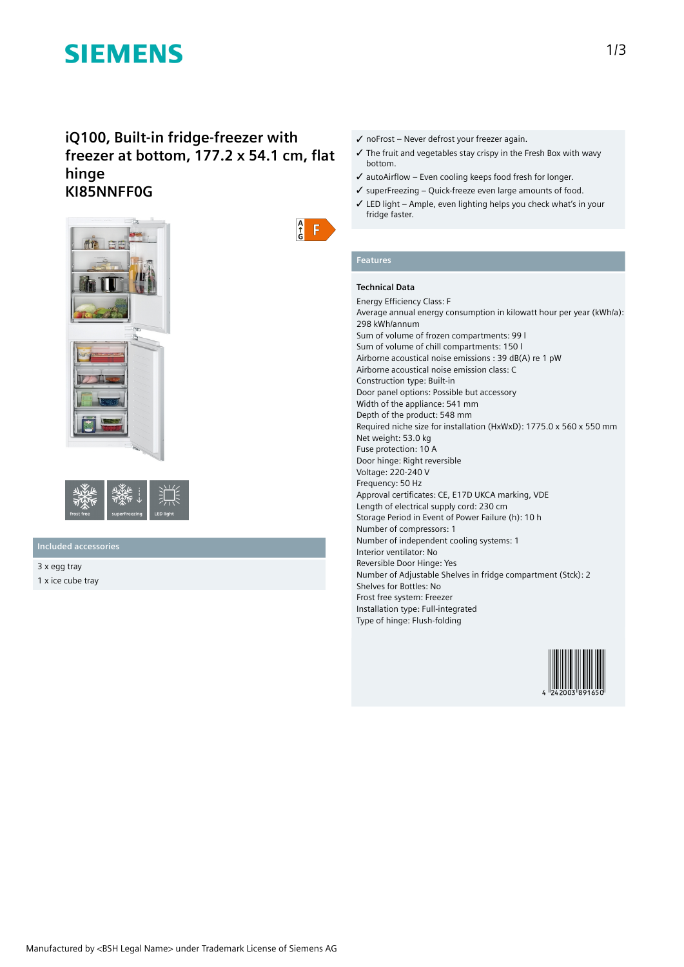# **SIEMENS**

## **iQ100, Built-in fridge-freezer with freezer at bottom, 177.2 x 54.1 cm, flat hinge KI85NNFF0G**





### **Included accessories**

3 x egg tray 1 x ice cube tray

- ✓ noFrost Never defrost your freezer again.
- ✓ The fruit and vegetables stay crispy in the Fresh Box with wavy bottom.
- ✓ autoAirflow Even cooling keeps food fresh for longer.
- $\checkmark$  superFreezing Quick-freeze even large amounts of food.
- ✓ LED light Ample, even lighting helps you check what's in your fridge faster.

## **Features**

 $\frac{A}{G}$  $\mathsf F$ 

### **Technical Data**

Energy Efficiency Class: F Average annual energy consumption in kilowatt hour per year (kWh/a): 298 kWh/annum Sum of volume of frozen compartments: 99 l Sum of volume of chill compartments: 150 l Airborne acoustical noise emissions : 39 dB(A) re 1 pW Airborne acoustical noise emission class: C Construction type: Built-in Door panel options: Possible but accessory Width of the appliance: 541 mm Depth of the product: 548 mm Required niche size for installation (HxWxD): 1775.0 x 560 x 550 mm Net weight: 53.0 kg Fuse protection: 10 A Door hinge: Right reversible Voltage: 220-240 V Frequency: 50 Hz Approval certificates: CE, E17D UKCA marking, VDE Length of electrical supply cord: 230 cm Storage Period in Event of Power Failure (h): 10 h Number of compressors: 1 Number of independent cooling systems: 1 Interior ventilator: No Reversible Door Hinge: Yes Number of Adjustable Shelves in fridge compartment (Stck): 2 Shelves for Bottles: No Frost free system: Freezer Installation type: Full-integrated Type of hinge: Flush-folding

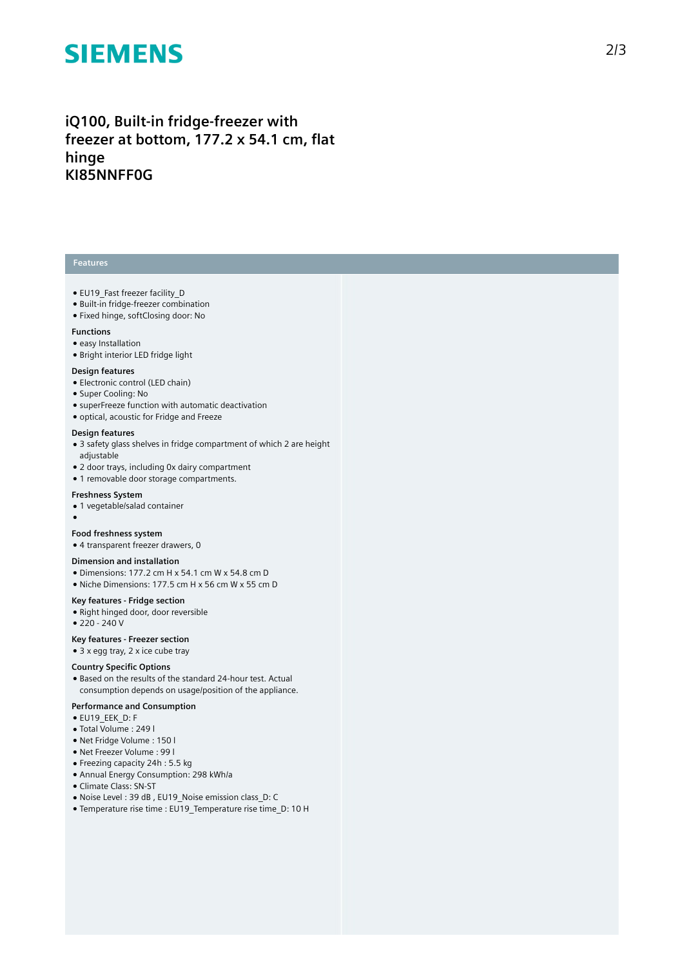# **SIEMENS**

# iQ100, Built-in fridge-freezer with freezer at bottom, 177.2 x 54.1 cm, flat **h i n g e KI85NNFF0G**

### **Features**

- EU19 Fast freezer facility D
- Built-in fridge-freezer combination
- Fixed hinge, softClosing door: No

#### **F u n c t i o n s**

- easy Installation
- $\bullet$  Bright interior LED fridge light

#### Design features

- Electronic control (LED chain)
- Super Cooling: No
- superFreeze function with automatic deactivation
- optical, acoustic for Fridge and Freeze

#### Design features

- $\bullet$  3 safety glass shelves in fridge compartment of which 2 are height adjustable
- 2 door trays, including 0x dairy compartment
- 1 removable door storage compartments.

#### **Freshness System**

• 1 vegetable/salad container

#### $\bullet$

#### **Food freshness system**

• 4 transparent freezer drawers, 0

#### Dimension and installation

- Dimensions: 177.2 cm H x 54.1 cm W x 54.8 cm D
- Niche Dimensions: 177.5 cm H x 56 cm W x 55 cm D

#### Key features - Fridge section

• Right hinged door, door reversible

● 220 - 240 V

#### **Key** features - Freezer section

 $\bullet$  3 x egg tray, 2 x ice cube tray

#### **Country Specific Options**

• Based on the results of the standard 24-hour test. Actual consumption depends on usage/position of the applianc e .

#### Performance and Consumption

- EU19\_EEK\_D: F
- Total Volume : 2 4 9 l
- Net Fridge Volume : 1 5 0 l
- Net Freezer Volume : 99 l
- Freezing capacity 24h : 5. 5 k g
- Annual Energy Consumption: 298 kWh/a
- Climate Class: SN-ST
- Noise Level: 39 dB, EU19 Noise emission class D: C
- Temperature rise time : EU19\_Temperature rise time\_D: 10 H